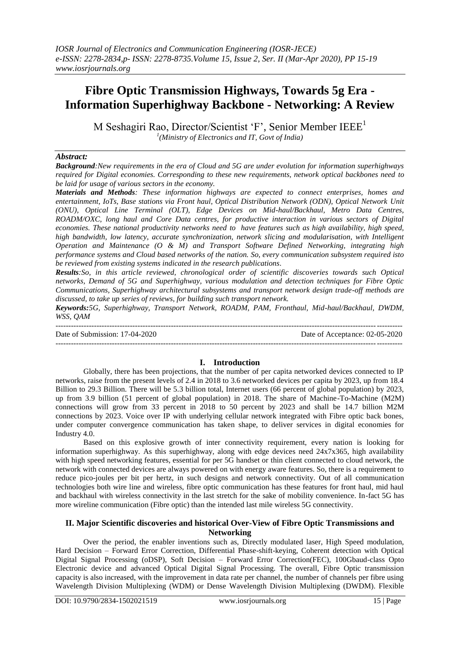# **Fibre Optic Transmission Highways, Towards 5g Era - Information Superhighway Backbone - Networking: A Review**

M Seshagiri Rao, Director/Scientist 'F', Senior Member IEEE<sup>1</sup> *1 (Ministry of Electronics and IT, Govt of India)*

#### *Abstract:*

*Background:New requirements in the era of Cloud and 5G are under evolution for information superhighways required for Digital economies. Corresponding to these new requirements, network optical backbones need to be laid for usage of various sectors in the economy.*

*Materials and Methods: These information highways are expected to connect enterprises, homes and entertainment, IoTs, Base stations via Front haul, Optical Distribution Network (ODN), Optical Network Unit (ONU), Optical Line Terminal (OLT), Edge Devices on Mid-haul/Backhaul, Metro Data Centres, ROADM/OXC, long haul and Core Data centres, for productive interaction in various sectors of Digital economies. These national productivity networks need to have features such as high availability, high speed, high bandwidth, low latency, accurate synchronization, network slicing and modularisation, with Intelligent Operation and Maintenance (O & M) and Transport Software Defined Networking, integrating high performance systems and Cloud based networks of the nation. So, every communication subsystem required isto be reviewed from existing systems indicated in the research publications.*

*Results:So, in this article reviewed, chronological order of scientific discoveries towards such Optical networks, Demand of 5G and Superhighway, various modulation and detection techniques for Fibre Optic Communications, Superhighway architectural subsystems and transport network design trade-off methods are discussed, to take up series of reviews, for building such transport network.*

*Keywords:5G, Superhighway, Transport Network, ROADM, PAM, Fronthaul, Mid-haul/Backhaul, DWDM, WSS, QAM*

--------------------------------------------------------------------------------------------------------------------------------------- Date of Submission: 17-04-2020 Date of Acceptance: 02-05-2020 ---------------------------------------------------------------------------------------------------------------------------------------

## **I. Introduction**

Globally, there has been projections, that the number of per capita networked devices connected to IP networks, raise from the present levels of 2.4 in 2018 to 3.6 networked devices per capita by 2023, up from 18.4 Billion to 29.3 Billion. There will be 5.3 billion total, Internet users (66 percent of global population) by 2023, up from 3.9 billion (51 percent of global population) in 2018. The share of Machine-To-Machine (M2M) connections will grow from 33 percent in 2018 to 50 percent by 2023 and shall be 14.7 billion M2M connections by 2023. Voice over IP with underlying cellular network integrated with Fibre optic back bones, under computer convergence communication has taken shape, to deliver services in digital economies for Industry 4.0.

Based on this explosive growth of inter connectivity requirement, every nation is looking for information superhighway. As this superhighway, along with edge devices need 24x7x365, high availability with high speed networking features, essential for per 5G handset or thin client connected to cloud network, the network with connected devices are always powered on with energy aware features. So, there is a requirement to reduce pico-joules per bit per hertz, in such designs and network connectivity. Out of all communication technologies both wire line and wireless, fibre optic communication has these features for front haul, mid haul and backhaul with wireless connectivity in the last stretch for the sake of mobility convenience. In-fact 5G has more wireline communication (Fibre optic) than the intended last mile wireless 5G connectivity.

## **II. Major Scientific discoveries and historical Over-View of Fibre Optic Transmissions and Networking**

Over the period, the enabler inventions such as, Directly modulated laser, High Speed modulation, Hard Decision – Forward Error Correction, Differential Phase-shift-keying, Coherent detection with Optical Digital Signal Processing (oDSP), Soft Decision – Forward Error Correction(FEC), 100Gbaud-class Opto Electronic device and advanced Optical Digital Signal Processing. The overall, Fibre Optic transmission capacity is also increased, with the improvement in data rate per channel, the number of channels per fibre using Wavelength Division Multiplexing (WDM) or Dense Wavelength Division Multiplexing (DWDM). Flexible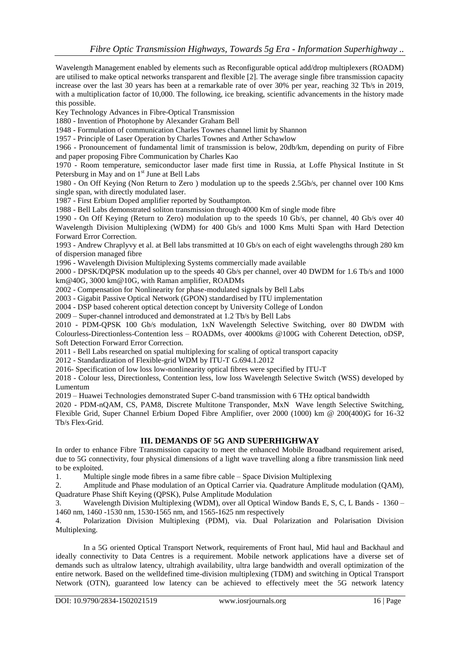Wavelength Management enabled by elements such as Reconfigurable optical add/drop multiplexers (ROADM) are utilised to make optical networks transparent and flexible [2]. The average single fibre transmission capacity increase over the last 30 years has been at a remarkable rate of over 30% per year, reaching 32 Tb/s in 2019, with a multiplication factor of 10,000. The following, ice breaking, scientific advancements in the history made this possible.

Key Technology Advances in Fibre-Optical Transmission

1880 - Invention of Photophone by Alexander Graham Bell

1948 - Formulation of communication Charles Townes channel limit by Shannon

1957 - Principle of Laser Operation by Charles Townes and Arther Schawlow

1966 - Pronouncement of fundamental limit of transmission is below, 20db/km, depending on purity of Fibre and paper proposing Fibre Communication by Charles Kao

1970 - Room temperature, semiconductor laser made first time in Russia, at Loffe Physical Institute in St Petersburg in May and on 1<sup>st</sup> June at Bell Labs

1980 - On Off Keying (Non Return to Zero ) modulation up to the speeds 2.5Gb/s, per channel over 100 Kms single span, with directly modulated laser.

1987 - First Erbium Doped amplifier reported by Southampton.

1988 - Bell Labs demonstrated soliton transmission through 4000 Km of single mode fibre

1990 - On Off Keying (Return to Zero) modulation up to the speeds 10 Gb/s, per channel, 40 Gb/s over 40 Wavelength Division Multiplexing (WDM) for 400 Gb/s and 1000 Kms Multi Span with Hard Detection Forward Error Correction.

1993 - Andrew Chraplyvy et al. at Bell labs transmitted at 10 Gb/s on each of eight wavelengths through 280 km of dispersion managed fibre

1996 - Wavelength Division Multiplexing Systems commercially made available

2000 - DPSK/DQPSK modulation up to the speeds 40 Gb/s per channel, over 40 DWDM for 1.6 Tb/s and 1000 km@40G, 3000 km@10G, with Raman amplifier, ROADMs

2002 - Compensation for Nonlinearity for phase-modulated signals by Bell Labs

2003 - Gigabit Passive Optical Network (GPON) standardised by ITU implementation

2004 - DSP based coherent optical detection concept by University College of London

2009 – Super-channel introduced and demonstrated at 1.2 Tb/s by Bell Labs

2010 - PDM-QPSK 100 Gb/s modulation, 1xN Wavelength Selective Switching, over 80 DWDM with Colourless-Directionless-Contention less – ROADMs, over 4000kms @100G with Coherent Detection, oDSP, Soft Detection Forward Error Correction.

2011 - Bell Labs researched on spatial multiplexing for scaling of optical transport capacity

2012 - Standardization of Flexible-grid WDM by ITU-T G.694.1.2012

2016- Specification of low loss low-nonlinearity optical fibres were specified by ITU-T

2018 - Colour less, Directionless, Contention less, low loss Wavelength Selective Switch (WSS) developed by Lumentum

2019 – Huawei Technologies demonstrated Super C-band transmission with 6 THz optical bandwidth

2020 - PDM-nQAM, CS, PAM8, Discrete Multitone Transponder, MxN Wave length Selective Switching, Flexible Grid, Super Channel Erbium Doped Fibre Amplifier, over 2000 (1000) km @ 200(400)G for 16-32 Tb/s Flex-Grid.

## **III. DEMANDS OF 5G AND SUPERHIGHWAY**

In order to enhance Fibre Transmission capacity to meet the enhanced Mobile Broadband requirement arised, due to 5G connectivity, four physical dimensions of a light wave travelling along a fibre transmission link need to be exploited.

1. Multiple single mode fibres in a same fibre cable – Space Division Multiplexing

2. Amplitude and Phase modulation of an Optical Carrier via. Quadrature Amplitude modulation (QAM), Quadrature Phase Shift Keying (QPSK), Pulse Amplitude Modulation

3. Wavelength Division Multiplexing (WDM), over all Optical Window Bands E, S, C, L Bands - 1360 – 1460 nm, 1460 -1530 nm, 1530-1565 nm, and 1565-1625 nm respectively

4. Polarization Division Multiplexing (PDM), via. Dual Polarization and Polarisation Division Multiplexing.

In a 5G oriented Optical Transport Network, requirements of Front haul, Mid haul and Backhaul and ideally connectivity to Data Centres is a requirement. Mobile network applications have a diverse set of demands such as ultralow latency, ultrahigh availability, ultra large bandwidth and overall optimization of the entire network. Based on the welldefined time-division multiplexing (TDM) and switching in Optical Transport Network (OTN), guaranteed low latency can be achieved to effectively meet the 5G network latency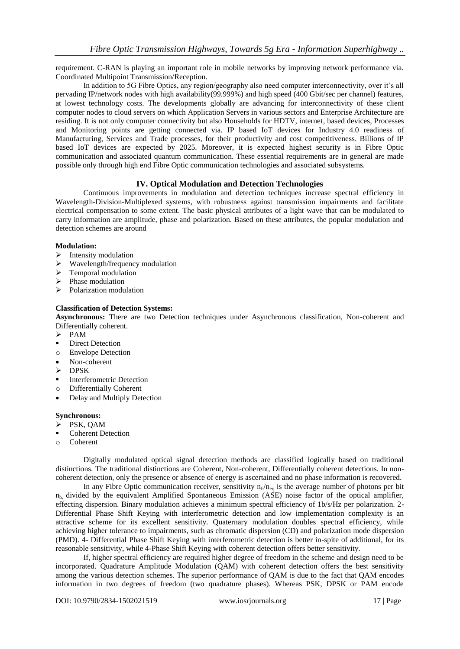requirement. C-RAN is playing an important role in mobile networks by improving network performance via. Coordinated Multipoint Transmission/Reception.

In addition to 5G Fibre Optics, any region/geography also need computer interconnectivity, over it"s all pervading IP/network nodes with high availability(99.999%) and high speed (400 Gbit/sec per channel) features, at lowest technology costs. The developments globally are advancing for interconnectivity of these client computer nodes to cloud servers on which Application Servers in various sectors and Enterprise Architecture are residing. It is not only computer connectivity but also Households for HDTV, internet, based devices, Processes and Monitoring points are getting connected via. IP based IoT devices for Industry 4.0 readiness of Manufacturing, Services and Trade processes, for their productivity and cost competitiveness. Billions of IP based IoT devices are expected by 2025. Moreover, it is expected highest security is in Fibre Optic communication and associated quantum communication. These essential requirements are in general are made possible only through high end Fibre Optic communication technologies and associated subsystems.

# **IV. Optical Modulation and Detection Technologies**

Continuous improvements in modulation and detection techniques increase spectral efficiency in Wavelength-Division-Multiplexed systems, with robustness against transmission impairments and facilitate electrical compensation to some extent. The basic physical attributes of a light wave that can be modulated to carry information are amplitude, phase and polarization. Based on these attributes, the popular modulation and detection schemes are around

#### **Modulation:**

- $\triangleright$  Intensity modulation
- Wavelength/frequency modulation
- $\triangleright$  Temporal modulation
- $\triangleright$  Phase modulation
- $\triangleright$  Polarization modulation

#### **Classification of Detection Systems:**

**Asynchronous:** There are two Detection techniques under Asynchronous classification, Non-coherent and Differentially coherent.

- $\triangleright$  PAM
- **Direct Detection**
- o Envelope Detection
- Non-coherent
- $\triangleright$  DPSK
- Interferometric Detection
- o Differentially Coherent
- Delay and Multiply Detection

#### **Synchronous:**

- $\triangleright$  PSK, QAM
- Coherent Detection
- o Coherent

Digitally modulated optical signal detection methods are classified logically based on traditional distinctions. The traditional distinctions are Coherent, Non-coherent, Differentially coherent detections. In noncoherent detection, only the presence or absence of energy is ascertained and no phase information is recovered.

In any Fibre Optic communication receiver, sensitivity  $n_b/n_{eq}$  is the average number of photons per bit  $n_b$  divided by the equivalent Amplified Spontaneous Emission (ASE) noise factor of the optical amplifier, effecting dispersion. Binary modulation achieves a minimum spectral efficiency of 1b/s/Hz per polarization. 2- Differential Phase Shift Keying with interferometric detection and low implementation complexity is an attractive scheme for its excellent sensitivity. Quaternary modulation doubles spectral efficiency, while achieving higher tolerance to impairments, such as chromatic dispersion (CD) and polarization mode dispersion (PMD). 4- Differential Phase Shift Keying with interferometric detection is better in-spite of additional, for its reasonable sensitivity, while 4-Phase Shift Keying with coherent detection offers better sensitivity.

If, higher spectral efficiency are required higher degree of freedom in the scheme and design need to be incorporated. Quadrature Amplitude Modulation (QAM) with coherent detection offers the best sensitivity among the various detection schemes. The superior performance of QAM is due to the fact that QAM encodes information in two degrees of freedom (two quadrature phases). Whereas PSK, DPSK or PAM encode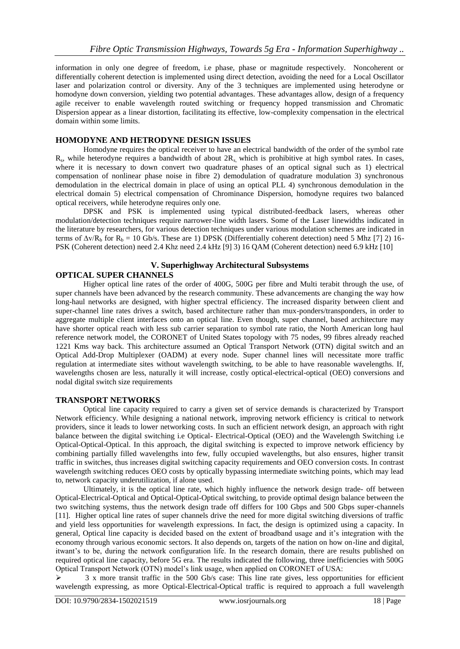information in only one degree of freedom, i.e phase, phase or magnitude respectively. Noncoherent or differentially coherent detection is implemented using direct detection, avoiding the need for a Local Oscillator laser and polarization control or diversity. Any of the 3 techniques are implemented using heterodyne or homodyne down conversion, yielding two potential advantages. These advantages allow, design of a frequency agile receiver to enable wavelength routed switching or frequency hopped transmission and Chromatic Dispersion appear as a linear distortion, facilitating its effective, low-complexity compensation in the electrical domain within some limits.

## **HOMODYNE AND HETRODYNE DESIGN ISSUES**

Homodyne requires the optical receiver to have an electrical bandwidth of the order of the symbol rate  $R_s$ , while heterodyne requires a bandwidth of about  $2R_s$ , which is prohibitive at high symbol rates. In cases, where it is necessary to down convert two quadrature phases of an optical signal such as 1) electrical compensation of nonlinear phase noise in fibre 2) demodulation of quadrature modulation 3) synchronous demodulation in the electrical domain in place of using an optical PLL 4) synchronous demodulation in the electrical domain 5) electrical compensation of Chrominance Dispersion, homodyne requires two balanced optical receivers, while heterodyne requires only one.

DPSK and PSK is implemented using typical distributed-feedback lasers, whereas other modulation/detection techniques require narrower-line width lasers. Some of the Laser linewidths indicated in the literature by researchers, for various detection techniques under various modulation schemes are indicated in terms of  $\Delta v/R_b$  for  $R_b = 10$  Gb/s. These are 1) DPSK (Differentially coherent detection) need 5 Mhz [7] 2) 16-PSK (Coherent detection) need 2.4 Khz need 2.4 kHz [9] 3) 16 QAM (Coherent detection) need 6.9 kHz [10]

#### **V. Superhighway Architectural Subsystems OPTICAL SUPER CHANNELS**

Higher optical line rates of the order of 400G, 500G per fibre and Multi terabit through the use, of super channels have been advanced by the research community. These advancements are changing the way how long-haul networks are designed, with higher spectral efficiency. The increased disparity between client and super-channel line rates drives a switch, based architecture rather than mux-ponders/transponders, in order to aggregate multiple client interfaces onto an optical line. Even though, super channel, based architecture may have shorter optical reach with less sub carrier separation to symbol rate ratio, the North American long haul reference network model, the CORONET of United States topology with 75 nodes, 99 fibres already reached 1221 Kms way back. This architecture assumed an Optical Transport Network (OTN) digital switch and an Optical Add-Drop Multiplexer (OADM) at every node. Super channel lines will necessitate more traffic regulation at intermediate sites without wavelength switching, to be able to have reasonable wavelengths. If, wavelengths chosen are less, naturally it will increase, costly optical-electrical-optical (OEO) conversions and

# **TRANSPORT NETWORKS**

nodal digital switch size requirements

Optical line capacity required to carry a given set of service demands is characterized by Transport Network efficiency. While designing a national network, improving network efficiency is critical to network providers, since it leads to lower networking costs. In such an efficient network design, an approach with right balance between the digital switching i.e Optical- Electrical-Optical (OEO) and the Wavelength Switching i.e Optical-Optical-Optical. In this approach, the digital switching is expected to improve network efficiency by combining partially filled wavelengths into few, fully occupied wavelengths, but also ensures, higher transit traffic in switches, thus increases digital switching capacity requirements and OEO conversion costs. In contrast wavelength switching reduces OEO costs by optically bypassing intermediate switching points, which may lead to, network capacity underutilization, if alone used.

Ultimately, it is the optical line rate, which highly influence the network design trade- off between Optical-Electrical-Optical and Optical-Optical-Optical switching, to provide optimal design balance between the two switching systems, thus the network design trade off differs for 100 Gbps and 500 Gbps super-channels [11]. Higher optical line rates of super channels drive the need for more digital switching diversions of traffic and yield less opportunities for wavelength expressions. In fact, the design is optimized using a capacity. In general, Optical line capacity is decided based on the extent of broadband usage and it"s integration with the economy through various economic sectors. It also depends on, targets of the nation on how on-line and digital, itwant's to be, during the network configuration life. In the research domain, there are results published on required optical line capacity, before 5G era. The results indicated the following, three inefficiencies with 500G Optical Transport Network (OTN) model"s link usage, when applied on CORONET of USA:

 $\geq$  3 x more transit traffic in the 500 Gb/s case: This line rate gives, less opportunities for efficient wavelength expressing, as more Optical-Electrical-Optical traffic is required to approach a full wavelength